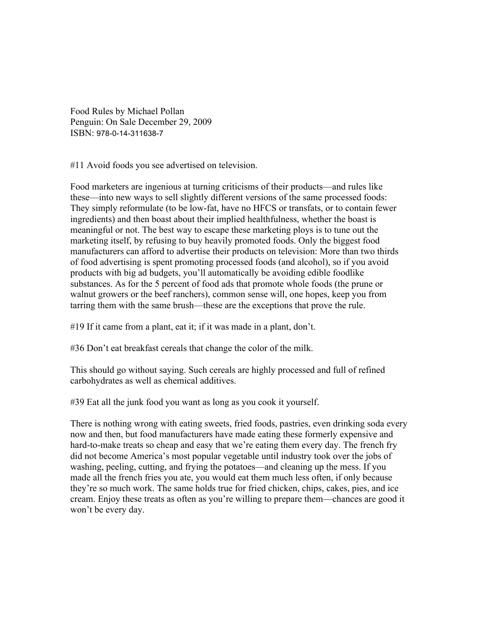Food Rules by Michael Pollan Penguin: On Sale December 29, 2009 ISBN: 978-0-14-311638-7

#11 Avoid foods you see advertised on television.

Food marketers are ingenious at turning criticisms of their products—and rules like these—into new ways to sell slightly different versions of the same processed foods: They simply reformulate (to be low-fat, have no HFCS or transfats, or to contain fewer ingredients) and then boast about their implied healthfulness, whether the boast is meaningful or not. The best way to escape these marketing ploys is to tune out the marketing itself, by refusing to buy heavily promoted foods. Only the biggest food manufacturers can afford to advertise their products on television: More than two thirds of food advertising is spent promoting processed foods (and alcohol), so if you avoid products with big ad budgets, you'll automatically be avoiding edible foodlike substances. As for the 5 percent of food ads that promote whole foods (the prune or walnut growers or the beef ranchers), common sense will, one hopes, keep you from tarring them with the same brush—these are the exceptions that prove the rule.

#19 If it came from a plant, eat it; if it was made in a plant, don't.

#36 Don't eat breakfast cereals that change the color of the milk.

This should go without saying. Such cereals are highly processed and full of refined carbohydrates as well as chemical additives.

#39 Eat all the junk food you want as long as you cook it yourself.

There is nothing wrong with eating sweets, fried foods, pastries, even drinking soda every now and then, but food manufacturers have made eating these formerly expensive and hard-to-make treats so cheap and easy that we're eating them every day. The french fry did not become America's most popular vegetable until industry took over the jobs of washing, peeling, cutting, and frying the potatoes—and cleaning up the mess. If you made all the french fries you ate, you would eat them much less often, if only because they're so much work. The same holds true for fried chicken, chips, cakes, pies, and ice cream. Enjoy these treats as often as you're willing to prepare them—chances are good it won't be every day.